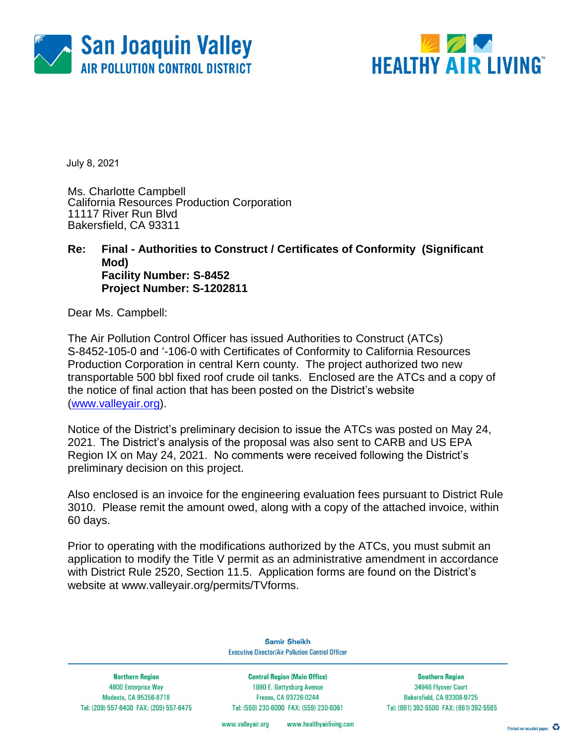



July 8, 2021

Ms. Charlotte Campbell California Resources Production Corporation 11117 River Run Blvd Bakersfield, CA 93311

#### **Re: Final - Authorities to Construct / Certificates of Conformity (Significant Mod) Facility Number: S-8452 Project Number: S-1202811**

Dear Ms. Campbell:

The Air Pollution Control Officer has issued Authorities to Construct (ATCs) S-8452-105-0 and '-106-0 with Certificates of Conformity to California Resources Production Corporation in central Kern county. The project authorized two new transportable 500 bbl fixed roof crude oil tanks. Enclosed are the ATCs and a copy of the notice of final action that has been posted on the District's website [\(www.valleyair.org\)](http://www.valleyair.org/).

Notice of the District's preliminary decision to issue the ATCs was posted on May 24, 2021. The District's analysis of the proposal was also sent to CARB and US EPA Region IX on May 24, 2021. No comments were received following the District's preliminary decision on this project.

Also enclosed is an invoice for the engineering evaluation fees pursuant to District Rule 3010. Please remit the amount owed, along with a copy of the attached invoice, within 60 days.

Prior to operating with the modifications authorized by the ATCs, you must submit an application to modify the Title V permit as an administrative amendment in accordance with District Rule 2520, Section 11.5. Application forms are found on the District's website at [www.valleyair.org/permits/TVforms.](http://www.valleyair.org/permits/TVforms)

> **Samir Sheikh Executive Director/Air Pollution Control Officer**

**Northern Region** 4800 Enterprise Way Modesto, CA 95356-8718 Tel: (209) 557-6400 FAX: (209) 557-6475

**Central Region (Main Office)** 1990 E. Gettysburg Avenue Fresno, CA 93726-0244 Tel: (559) 230-6000 FAX: (559) 230-6061

**Southern Region** 34946 Flyover Court Bakersfield, CA 93308-9725 Tel: (661) 392-5500 FAX: (661) 392-5585

www.healthyairliving.com www.valleyair.org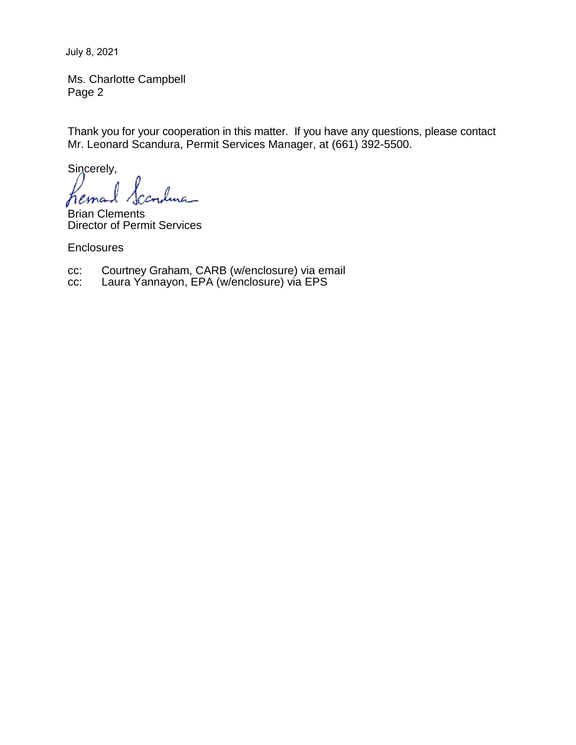July 8, 2021

Ms. Charlotte Campbell Page 2

Thank you for your cooperation in this matter. If you have any questions, please contact Mr. Leonard Scandura, Permit Services Manager, at (661) 392-5500.

Sincerely,

lma\_ hemal

Brian Clements Director of Permit Services

**Enclosures** 

cc: Courtney Graham, CARB (w/enclosure) via email

cc: Laura Yannayon, EPA (w/enclosure) via EPS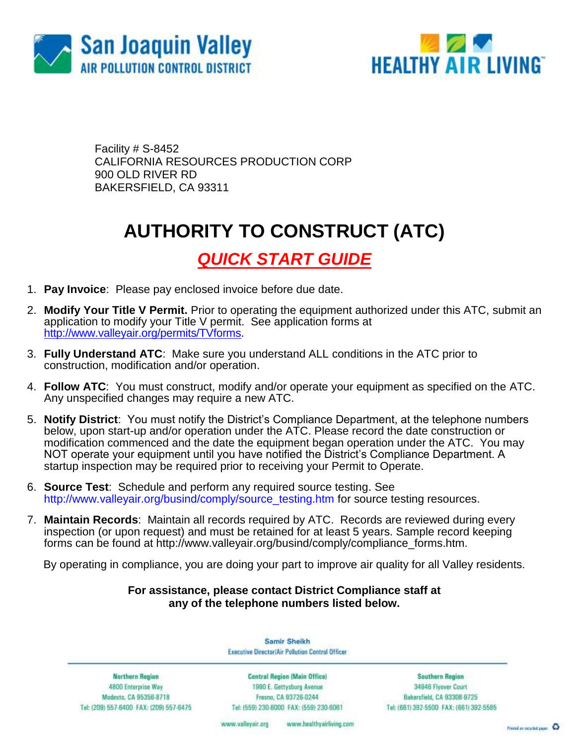



Facility # S-8452 CALIFORNIA RESOURCES PRODUCTION CORP 900 OLD RIVER RD BAKERSFIELD, CA 93311

## **AUTHORITY TO CONSTRUCT (ATC)**

*QUICK START GUIDE*

- 1. **Pay Invoice**: Please pay enclosed invoice before due date.
- 2. **Modify Your Title V Permit.** Prior to operating the equipment authorized under this ATC, submit an application to modify your Title V permit. See application forms at [http://www.valleyair.org/permits/TVforms.](http://www.valleyair.org/permits/TVforms)
- 3. **Fully Understand ATC**: Make sure you understand ALL conditions in the ATC prior to construction, modification and/or operation.
- 4. **Follow ATC**: You must construct, modify and/or operate your equipment as specified on the ATC. Any unspecified changes may require a new ATC.
- 5. **Notify District**: You must notify the District's Compliance Department, at the telephone numbers below, upon start-up and/or operation under the ATC. Please record the date construction or modification commenced and the date the equipment began operation under the ATC. You may NOT operate your equipment until you have notified the District's Compliance Department. A startup inspection may be required prior to receiving your Permit to Operate.
- 6. **Source Test**:Schedule and perform any required source testing. See [http://www.valleyair.org/busind/comply/source\\_testing.htm](http://www.valleyair.org/busind/comply/source_testing.htm) for source testing resources.
- 7. **Maintain Records**:Maintain all records required by ATC. Records are reviewed during every inspection (or upon request) and must be retained for at least 5 years. Sample record keeping forms can be found at http://www.valleyair.org/busind/comply/compliance\_forms.htm.

By operating in compliance, you are doing your part to improve air quality for all Valley residents.

#### **For assistance, please contact District Compliance staff at any of the telephone numbers listed below.**

Samir Sheikh Executive Director/Air Pollution Control Officer

Northern Region 4800 Enterprise Way Modesto, CA 95356-8718 Tel: (209) 557-6400 FAX: (209) 557-6475

Central Region (Main Office) 1990 E. Gettysburg Avenue Fresna, CA 93726-0244 Tel: (559) 230-6000 FAX: (559) 230-6061

**Southern Region** 34946 Flyover Court Bakersfield, CA 93308-9725 Tel: (661) 392-5500 FAX: (661) 392-5585

www.bealthyairliving.com www.valleyair.org

Preced on recycled paper. 43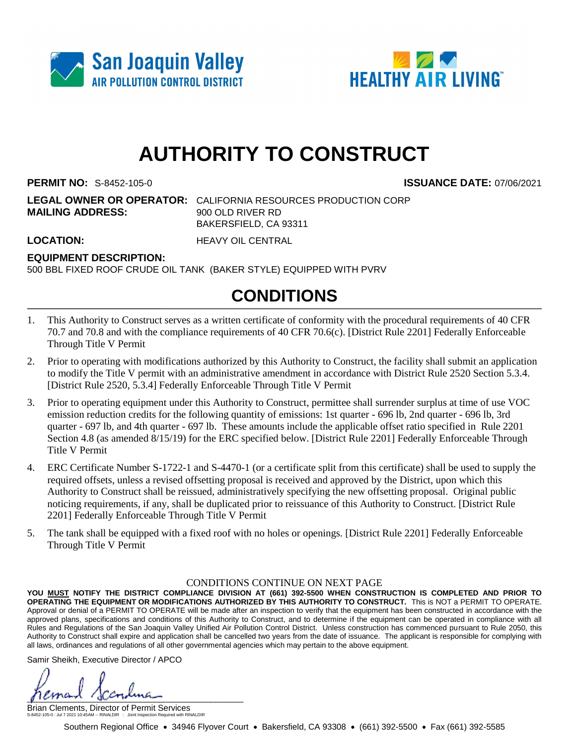



# **AUTHORITY TO CONSTRUCT**

**PERMIT NO:** S-8452-105-0 **ISSUANCE DATE:** 07/06/2021

**LEGAL OWNER OR OPERATOR:** CALIFORNIA RESOURCES PRODUCTION CORP **MAILING ADDRESS:** 900 OLD RIVER RD BAKERSFIELD, CA 93311

**LOCATION:** HEAVY OIL CENTRAL

#### **EQUIPMENT DESCRIPTION:**

500 BBL FIXED ROOF CRUDE OIL TANK (BAKER STYLE) EQUIPPED WITH PVRV

### **CONDITIONS**

- 1. This Authority to Construct serves as a written certificate of conformity with the procedural requirements of 40 CFR 70.7 and 70.8 and with the compliance requirements of 40 CFR 70.6(c). [District Rule 2201] Federally Enforceable Through Title V Permit
- 2. Prior to operating with modifications authorized by this Authority to Construct, the facility shall submit an application to modify the Title V permit with an administrative amendment in accordance with District Rule 2520 Section 5.3.4. [District Rule 2520, 5.3.4] Federally Enforceable Through Title V Permit
- 3. Prior to operating equipment under this Authority to Construct, permittee shall surrender surplus at time of use VOC emission reduction credits for the following quantity of emissions: 1st quarter - 696 lb, 2nd quarter - 696 lb, 3rd quarter - 697 lb, and 4th quarter - 697 lb. These amounts include the applicable offset ratio specified in Rule 2201 Section 4.8 (as amended 8/15/19) for the ERC specified below. [District Rule 2201] Federally Enforceable Through Title V Permit
- 4. ERC Certificate Number S-1722-1 and S-4470-1 (or a certificate split from this certificate) shall be used to supply the required offsets, unless a revised offsetting proposal is received and approved by the District, upon which this Authority to Construct shall be reissued, administratively specifying the new offsetting proposal. Original public noticing requirements, if any, shall be duplicated prior to reissuance of this Authority to Construct. [District Rule 2201] Federally Enforceable Through Title V Permit
- 5. The tank shall be equipped with a fixed roof with no holes or openings. [District Rule 2201] Federally Enforceable Through Title V Permit

#### CONDITIONS CONTINUE ON NEXT PAGE

**YOU MUST NOTIFY THE DISTRICT COMPLIANCE DIVISION AT (661) 392-5500 WHEN CONSTRUCTION IS COMPLETED AND PRIOR TO OPERATING THE EQUIPMENT OR MODIFICATIONS AUTHORIZED BY THIS AUTHORITY TO CONSTRUCT.** This is NOT a PERMIT TO OPERATE. Approval or denial of a PERMIT TO OPERATE will be made after an inspection to verify that the equipment has been constructed in accordance with the approved plans, specifications and conditions of this Authority to Construct, and to determine if the equipment can be operated in compliance with all Rules and Regulations of the San Joaquin Valley Unified Air Pollution Control District. Unless construction has commenced pursuant to Rule 2050, this Authority to Construct shall expire and application shall be cancelled two years from the date of issuance. The applicant is responsible for complying with all laws, ordinances and regulations of all other governmental agencies which may pertain to the above equipment.

Samir Sheikh, Executive Director / APCO

 $\mu$ 

Brian Clements, Director of Permit Services S-8452-105-0 : Jul 7 2021 10:45AM -- RINALDIR : Joint Inspection Required with RINALDIR

Southern Regional Office • 34946 Flyover Court • Bakersfield, CA 93308 • (661) 392-5500 • Fax (661) 392-5585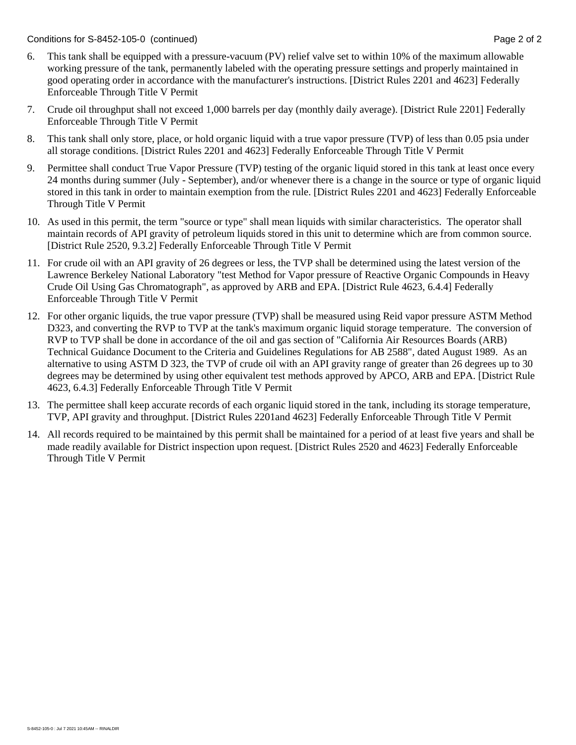Conditions for S-8452-105-0 (continued) Page 2 of 2

- 6. This tank shall be equipped with a pressure-vacuum (PV) relief valve set to within 10% of the maximum allowable working pressure of the tank, permanently labeled with the operating pressure settings and properly maintained in good operating order in accordance with the manufacturer's instructions. [District Rules 2201 and 4623] Federally Enforceable Through Title V Permit
- 7. Crude oil throughput shall not exceed 1,000 barrels per day (monthly daily average). [District Rule 2201] Federally Enforceable Through Title V Permit
- 8. This tank shall only store, place, or hold organic liquid with a true vapor pressure (TVP) of less than 0.05 psia under all storage conditions. [District Rules 2201 and 4623] Federally Enforceable Through Title V Permit
- 9. Permittee shall conduct True Vapor Pressure (TVP) testing of the organic liquid stored in this tank at least once every 24 months during summer (July - September), and/or whenever there is a change in the source or type of organic liquid stored in this tank in order to maintain exemption from the rule. [District Rules 2201 and 4623] Federally Enforceable Through Title V Permit
- 10. As used in this permit, the term "source or type" shall mean liquids with similar characteristics. The operator shall maintain records of API gravity of petroleum liquids stored in this unit to determine which are from common source. [District Rule 2520, 9.3.2] Federally Enforceable Through Title V Permit
- 11. For crude oil with an API gravity of 26 degrees or less, the TVP shall be determined using the latest version of the Lawrence Berkeley National Laboratory "test Method for Vapor pressure of Reactive Organic Compounds in Heavy Crude Oil Using Gas Chromatograph", as approved by ARB and EPA. [District Rule 4623, 6.4.4] Federally Enforceable Through Title V Permit
- 12. For other organic liquids, the true vapor pressure (TVP) shall be measured using Reid vapor pressure ASTM Method D323, and converting the RVP to TVP at the tank's maximum organic liquid storage temperature. The conversion of RVP to TVP shall be done in accordance of the oil and gas section of "California Air Resources Boards (ARB) Technical Guidance Document to the Criteria and Guidelines Regulations for AB 2588", dated August 1989. As an alternative to using ASTM D 323, the TVP of crude oil with an API gravity range of greater than 26 degrees up to 30 degrees may be determined by using other equivalent test methods approved by APCO, ARB and EPA. [District Rule 4623, 6.4.3] Federally Enforceable Through Title V Permit
- 13. The permittee shall keep accurate records of each organic liquid stored in the tank, including its storage temperature, TVP, API gravity and throughput. [District Rules 2201and 4623] Federally Enforceable Through Title V Permit
- 14. All records required to be maintained by this permit shall be maintained for a period of at least five years and shall be made readily available for District inspection upon request. [District Rules 2520 and 4623] Federally Enforceable Through Title V Permit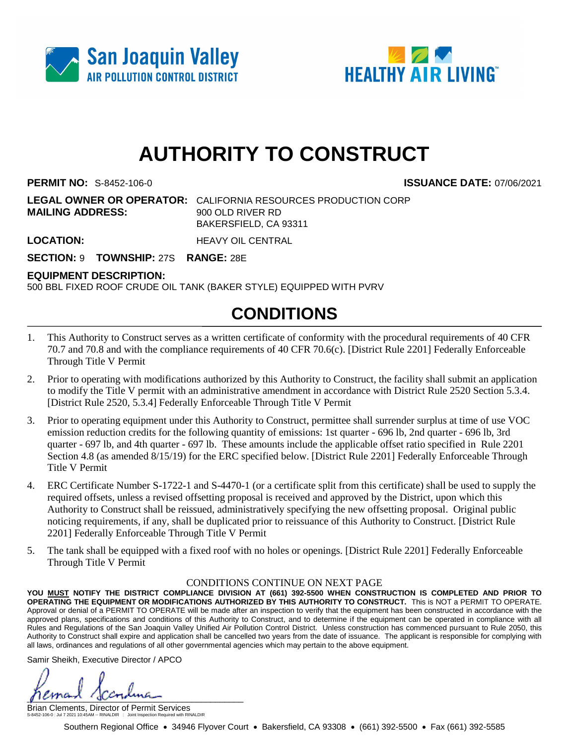



# **AUTHORITY TO CONSTRUCT**

**PERMIT NO:** S-8452-106-0 **ISSUANCE DATE:** 07/06/2021

**LEGAL OWNER OR OPERATOR:** CALIFORNIA RESOURCES PRODUCTION CORP **MAILING ADDRESS:** 900 OLD RIVER RD BAKERSFIELD, CA 93311

**LOCATION:** HEAVY OIL CENTRAL

**SECTION:** 9 **TOWNSHIP:** 27S **RANGE:** 28E

#### **EQUIPMENT DESCRIPTION:**

500 BBL FIXED ROOF CRUDE OIL TANK (BAKER STYLE) EQUIPPED WITH PVRV

### **CONDITIONS**

- 1. This Authority to Construct serves as a written certificate of conformity with the procedural requirements of 40 CFR 70.7 and 70.8 and with the compliance requirements of 40 CFR 70.6(c). [District Rule 2201] Federally Enforceable Through Title V Permit
- 2. Prior to operating with modifications authorized by this Authority to Construct, the facility shall submit an application to modify the Title V permit with an administrative amendment in accordance with District Rule 2520 Section 5.3.4. [District Rule 2520, 5.3.4] Federally Enforceable Through Title V Permit
- 3. Prior to operating equipment under this Authority to Construct, permittee shall surrender surplus at time of use VOC emission reduction credits for the following quantity of emissions: 1st quarter - 696 lb, 2nd quarter - 696 lb, 3rd quarter - 697 lb, and 4th quarter - 697 lb. These amounts include the applicable offset ratio specified in Rule 2201 Section 4.8 (as amended  $\frac{8}{15/19}$ ) for the ERC specified below. [District Rule 2201] Federally Enforceable Through Title V Permit
- 4. ERC Certificate Number S-1722-1 and S-4470-1 (or a certificate split from this certificate) shall be used to supply the required offsets, unless a revised offsetting proposal is received and approved by the District, upon which this Authority to Construct shall be reissued, administratively specifying the new offsetting proposal. Original public noticing requirements, if any, shall be duplicated prior to reissuance of this Authority to Construct. [District Rule 2201] Federally Enforceable Through Title V Permit
- 5. The tank shall be equipped with a fixed roof with no holes or openings. [District Rule 2201] Federally Enforceable Through Title V Permit

#### CONDITIONS CONTINUE ON NEXT PAGE

**YOU MUST NOTIFY THE DISTRICT COMPLIANCE DIVISION AT (661) 392-5500 WHEN CONSTRUCTION IS COMPLETED AND PRIOR TO OPERATING THE EQUIPMENT OR MODIFICATIONS AUTHORIZED BY THIS AUTHORITY TO CONSTRUCT.** This is NOT a PERMIT TO OPERATE. Approval or denial of a PERMIT TO OPERATE will be made after an inspection to verify that the equipment has been constructed in accordance with the approved plans, specifications and conditions of this Authority to Construct, and to determine if the equipment can be operated in compliance with all Rules and Regulations of the San Joaquin Valley Unified Air Pollution Control District. Unless construction has commenced pursuant to Rule 2050, this Authority to Construct shall expire and application shall be cancelled two years from the date of issuance. The applicant is responsible for complying with all laws, ordinances and regulations of all other governmental agencies which may pertain to the above equipment.

Samir Sheikh, Executive Director / APCO

 $\mu$ 

Brian Clements, Director of Permit Services S-8452-106-0 : Jul 7 2021 10:45AM -- RINALDIR : Joint Inspection Required with RINALDIR

Southern Regional Office • 34946 Flyover Court • Bakersfield, CA 93308 • (661) 392-5500 • Fax (661) 392-5585